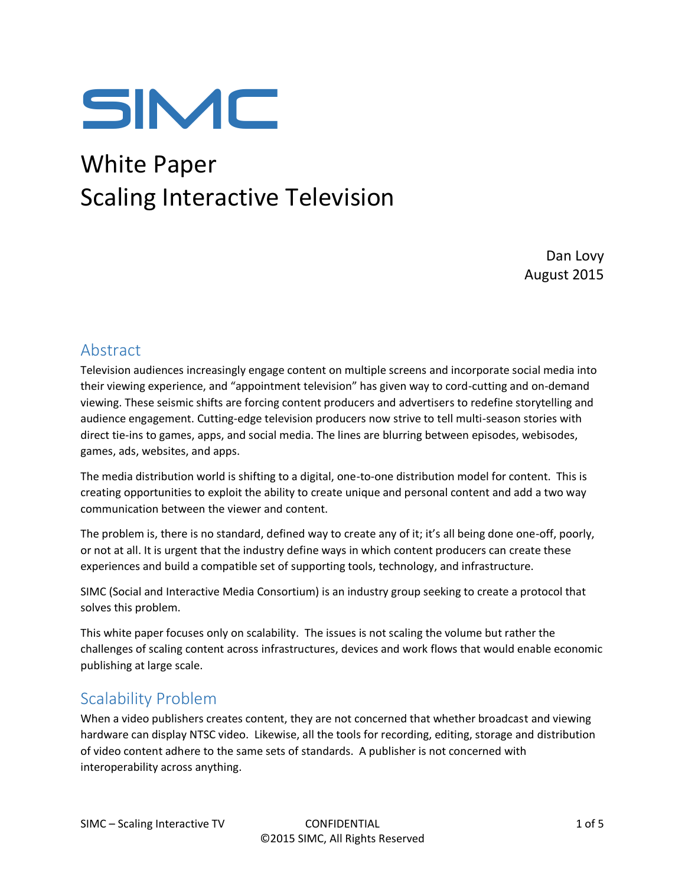

# White Paper Scaling Interactive Television

Dan Lovy August 2015

### Abstract

Television audiences increasingly engage content on multiple screens and incorporate social media into their viewing experience, and "appointment television" has given way to cord-cutting and on-demand viewing. These seismic shifts are forcing content producers and advertisers to redefine storytelling and audience engagement. Cutting-edge television producers now strive to tell multi-season stories with direct tie-ins to games, apps, and social media. The lines are blurring between episodes, webisodes, games, ads, websites, and apps.

The media distribution world is shifting to a digital, one-to-one distribution model for content. This is creating opportunities to exploit the ability to create unique and personal content and add a two way communication between the viewer and content.

The problem is, there is no standard, defined way to create any of it; it's all being done one-off, poorly, or not at all. It is urgent that the industry define ways in which content producers can create these experiences and build a compatible set of supporting tools, technology, and infrastructure.

SIMC (Social and Interactive Media Consortium) is an industry group seeking to create a protocol that solves this problem.

This white paper focuses only on scalability. The issues is not scaling the volume but rather the challenges of scaling content across infrastructures, devices and work flows that would enable economic publishing at large scale.

#### Scalability Problem

When a video publishers creates content, they are not concerned that whether broadcast and viewing hardware can display NTSC video. Likewise, all the tools for recording, editing, storage and distribution of video content adhere to the same sets of standards. A publisher is not concerned with interoperability across anything.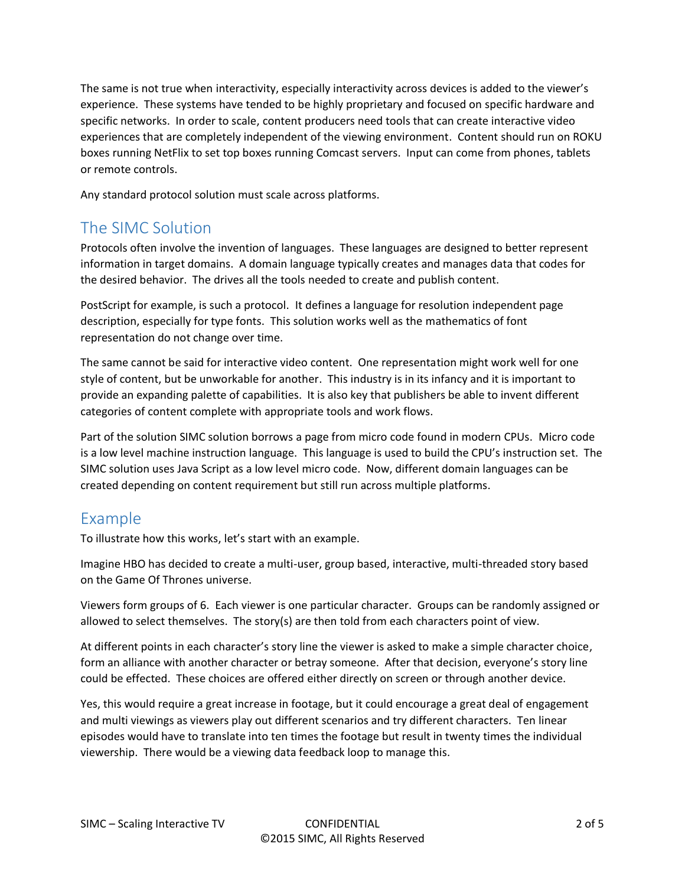The same is not true when interactivity, especially interactivity across devices is added to the viewer's experience. These systems have tended to be highly proprietary and focused on specific hardware and specific networks. In order to scale, content producers need tools that can create interactive video experiences that are completely independent of the viewing environment. Content should run on ROKU boxes running NetFlix to set top boxes running Comcast servers. Input can come from phones, tablets or remote controls.

Any standard protocol solution must scale across platforms.

## The SIMC Solution

Protocols often involve the invention of languages. These languages are designed to better represent information in target domains. A domain language typically creates and manages data that codes for the desired behavior. The drives all the tools needed to create and publish content.

PostScript for example, is such a protocol. It defines a language for resolution independent page description, especially for type fonts. This solution works well as the mathematics of font representation do not change over time.

The same cannot be said for interactive video content. One representation might work well for one style of content, but be unworkable for another. This industry is in its infancy and it is important to provide an expanding palette of capabilities. It is also key that publishers be able to invent different categories of content complete with appropriate tools and work flows.

Part of the solution SIMC solution borrows a page from micro code found in modern CPUs. Micro code is a low level machine instruction language. This language is used to build the CPU's instruction set. The SIMC solution uses Java Script as a low level micro code. Now, different domain languages can be created depending on content requirement but still run across multiple platforms.

# Example

To illustrate how this works, let's start with an example.

Imagine HBO has decided to create a multi-user, group based, interactive, multi-threaded story based on the Game Of Thrones universe.

Viewers form groups of 6. Each viewer is one particular character. Groups can be randomly assigned or allowed to select themselves. The story(s) are then told from each characters point of view.

At different points in each character's story line the viewer is asked to make a simple character choice, form an alliance with another character or betray someone. After that decision, everyone's story line could be effected. These choices are offered either directly on screen or through another device.

Yes, this would require a great increase in footage, but it could encourage a great deal of engagement and multi viewings as viewers play out different scenarios and try different characters. Ten linear episodes would have to translate into ten times the footage but result in twenty times the individual viewership. There would be a viewing data feedback loop to manage this.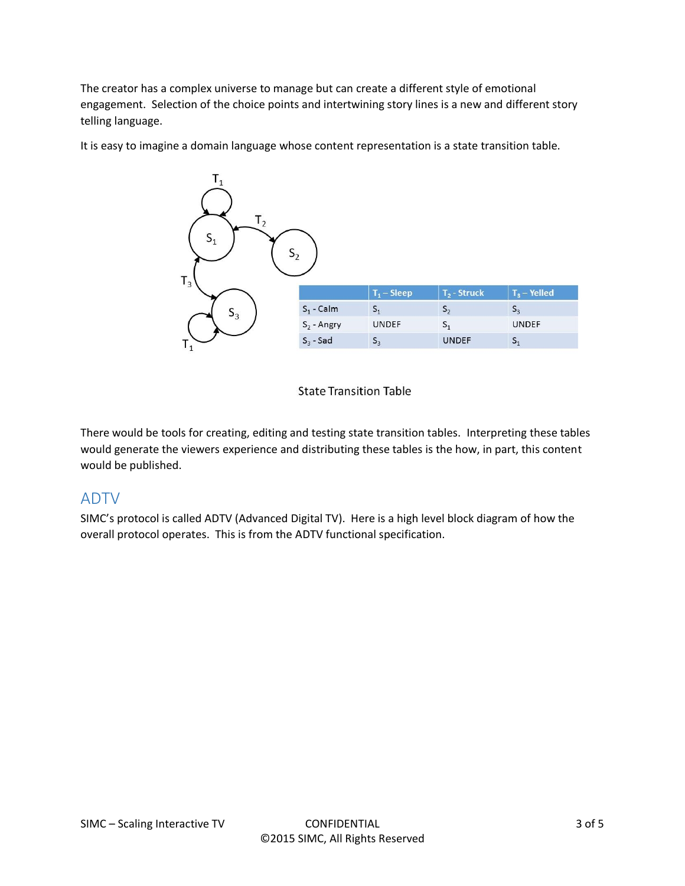The creator has a complex universe to manage but can create a different style of emotional engagement. Selection of the choice points and intertwining story lines is a new and different story telling language.

It is easy to imagine a domain language whose content representation is a state transition table.



#### **State Transition Table**

There would be tools for creating, editing and testing state transition tables. Interpreting these tables would generate the viewers experience and distributing these tables is the how, in part, this content would be published.

#### ADTV

SIMC's protocol is called ADTV (Advanced Digital TV). Here is a high level block diagram of how the overall protocol operates. This is from the ADTV functional specification.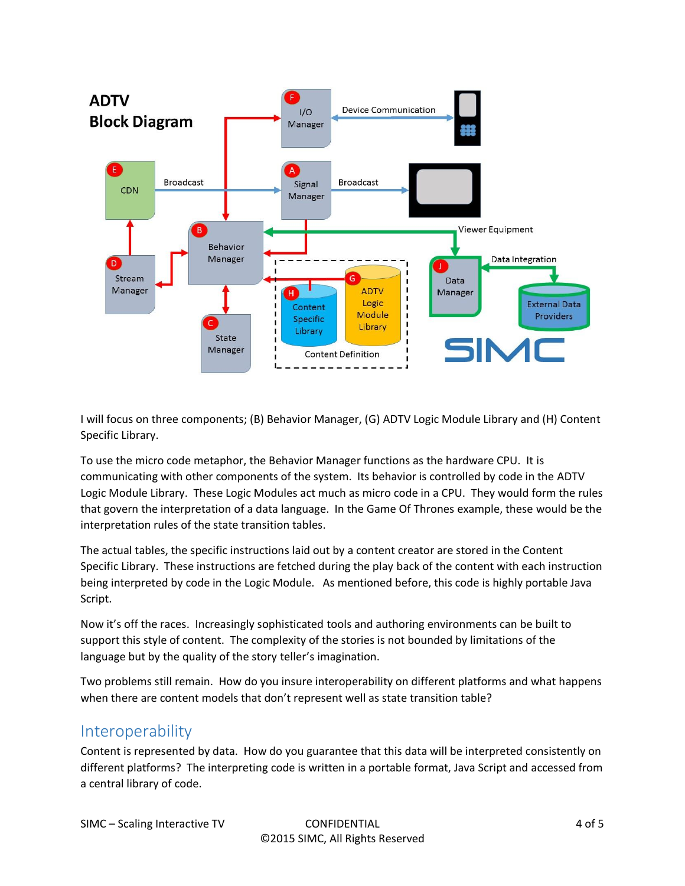

I will focus on three components; (B) Behavior Manager, (G) ADTV Logic Module Library and (H) Content Specific Library.

To use the micro code metaphor, the Behavior Manager functions as the hardware CPU. It is communicating with other components of the system. Its behavior is controlled by code in the ADTV Logic Module Library. These Logic Modules act much as micro code in a CPU. They would form the rules that govern the interpretation of a data language. In the Game Of Thrones example, these would be the interpretation rules of the state transition tables.

The actual tables, the specific instructions laid out by a content creator are stored in the Content Specific Library. These instructions are fetched during the play back of the content with each instruction being interpreted by code in the Logic Module. As mentioned before, this code is highly portable Java Script.

Now it's off the races. Increasingly sophisticated tools and authoring environments can be built to support this style of content. The complexity of the stories is not bounded by limitations of the language but by the quality of the story teller's imagination.

Two problems still remain. How do you insure interoperability on different platforms and what happens when there are content models that don't represent well as state transition table?

#### **Interoperability**

Content is represented by data. How do you guarantee that this data will be interpreted consistently on different platforms? The interpreting code is written in a portable format, Java Script and accessed from a central library of code.